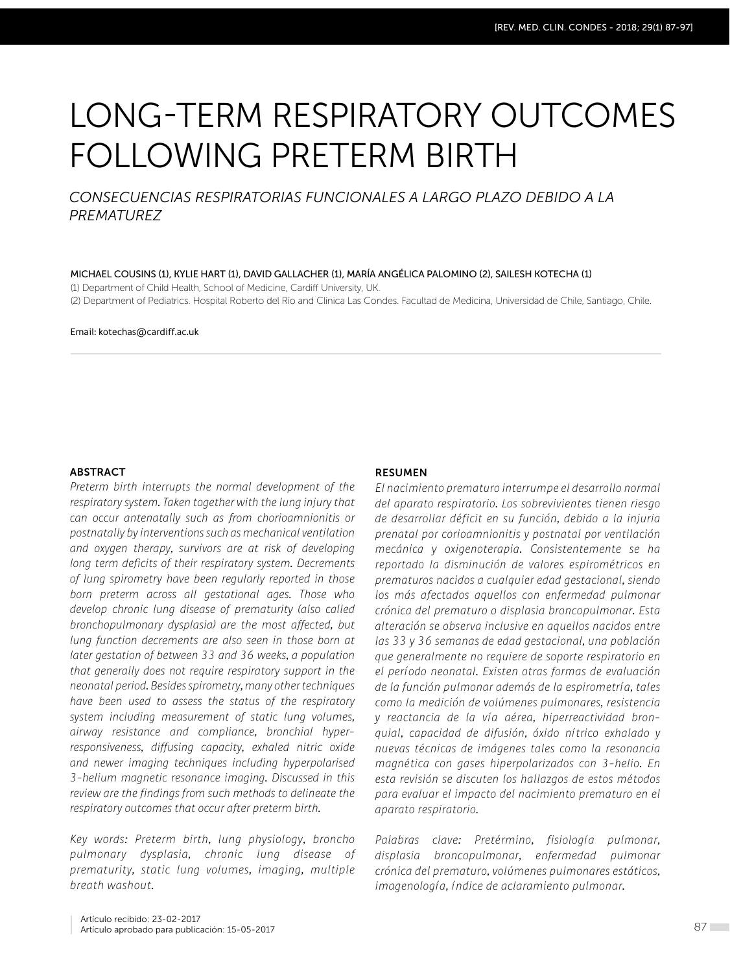# LONG-TERM RESPIRATORY OUTCOMES FOLLOWING PRETERM BIRTH

## *CONSECUENCIAS RESPIRATORIAS FUNCIONALES A LARGO PLAZO DEBIDO A LA PREMATUREZ*

#### MICHAEL COUSINS (1), KYLIE HART (1), DAVID GALLACHER (1), MARÍA ANGÉLICA PALOMINO (2), SAILESH KOTECHA (1)

(1) Department of Child Health, School of Medicine, Cardiff University, UK.

(2) Department of Pediatrics. Hospital Roberto del Río and Clínica Las Condes. Facultad de Medicina, Universidad de Chile, Santiago, Chile.

#### Email: kotechas@cardiff.ac.uk

## **ABSTRACT**

*Preterm birth interrupts the normal development of the respiratory system. Taken together with the lung injury that can occur antenatally such as from chorioamnionitis or postnatally by interventions such as mechanical ventilation and oxygen therapy, survivors are at risk of developing long term deficits of their respiratory system. Decrements of lung spirometry have been regularly reported in those born preterm across all gestational ages. Those who develop chronic lung disease of prematurity (also called bronchopulmonary dysplasia) are the most affected, but lung function decrements are also seen in those born at later gestation of between 33 and 36 weeks, a population that generally does not require respiratory support in the neonatal period. Besides spirometry, many other techniques have been used to assess the status of the respiratory system including measurement of static lung volumes, airway resistance and compliance, bronchial hyperresponsiveness, diffusing capacity, exhaled nitric oxide and newer imaging techniques including hyperpolarised 3-helium magnetic resonance imaging. Discussed in this review are the findings from such methods to delineate the respiratory outcomes that occur after preterm birth.*

*Key words: Preterm birth, lung physiology, broncho pulmonary dysplasia, chronic lung disease of prematurity, static lung volumes, imaging, multiple breath washout.*

#### **RESUMEN**

*El nacimiento prematuro interrumpe el desarrollo normal del aparato respiratorio. Los sobrevivientes tienen riesgo de desarrollar déficit en su función, debido a la injuria prenatal por corioamnionitis y postnatal por ventilación mecánica y oxigenoterapia. Consistentemente se ha reportado la disminución de valores espirométricos en prematuros nacidos a cualquier edad gestacional, siendo los más afectados aquellos con enfermedad pulmonar crónica del prematuro o displasia broncopulmonar. Esta alteración se observa inclusive en aquellos nacidos entre las 33 y 36 semanas de edad gestacional, una población que generalmente no requiere de soporte respiratorio en el período neonatal. Existen otras formas de evaluación de la función pulmonar además de la espirometría, tales como la medición de volúmenes pulmonares, resistencia y reactancia de la vía aérea, hiperreactividad bronquial, capacidad de difusión, óxido nítrico exhalado y nuevas técnicas de imágenes tales como la resonancia magnética con gases hiperpolarizados con 3-helio. En esta revisión se discuten los hallazgos de estos métodos para evaluar el impacto del nacimiento prematuro en el aparato respiratorio.* 

*Palabras clave: Pretérmino, fisiología pulmonar, displasia broncopulmonar, enfermedad pulmonar crónica del prematuro, volúmenes pulmonares estáticos, imagenología, índice de aclaramiento pulmonar.*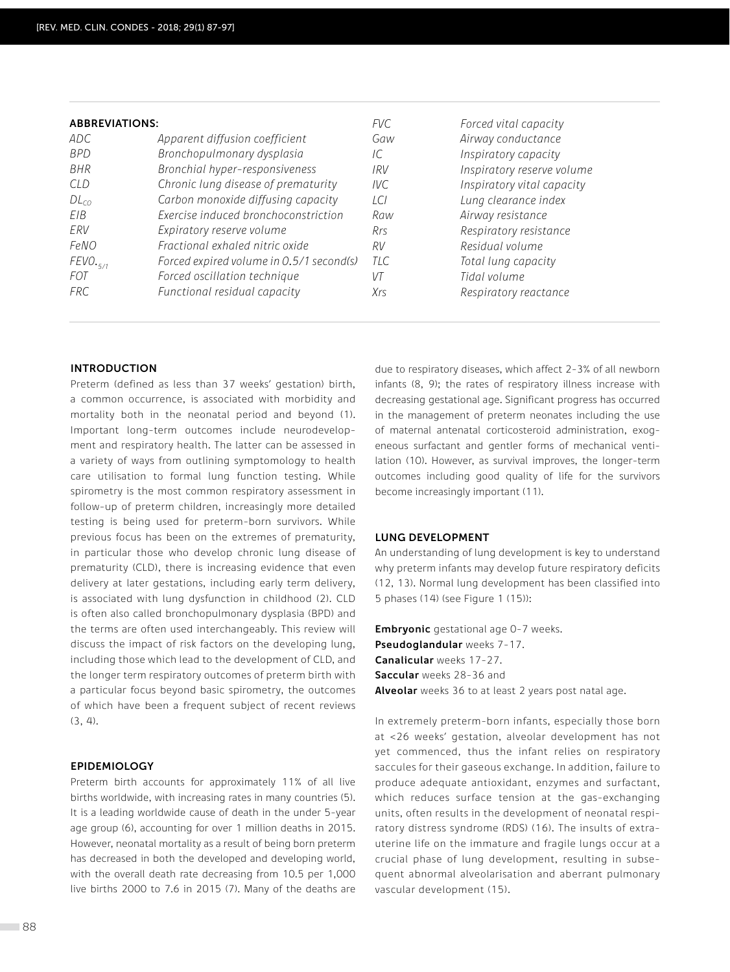| <b>ABBREVIATIONS:</b> |                                          | FVC.  | Forced vital capacity      |
|-----------------------|------------------------------------------|-------|----------------------------|
| ADC                   | Apparent diffusion coefficient           | Gaw   | Airway conductance         |
| <b>BPD</b>            | Bronchopulmonary dysplasia               | IC.   | Inspiratory capacity       |
| <b>BHR</b>            | Bronchial hyper-responsiveness           | 1RV   | Inspiratory reserve volume |
| C/D                   | Chronic lung disease of prematurity      | IVC   | Inspiratory vital capacity |
| $DL_{CO}$             | Carbon monoxide diffusing capacity       | LCI   | Lung clearance index       |
| EIB.                  | Exercise induced bronchoconstriction     | Raw   | Airway resistance          |
| ERV                   | Expiratory reserve volume                | Rrs   | Respiratory resistance     |
| FeNO                  | Fractional exhaled nitric oxide          | RV    | Residual volume            |
| FEVO.                 | Forced expired volume in 0.5/1 second(s) | T/C   | Total lung capacity        |
| <i>FOT</i>            | Forced oscillation technique             | $V$ T | Tidal volume               |
| <b>FRC</b>            | Functional residual capacity             | Xrs   | Respiratory reactance      |

## **INTRODUCTION**

Preterm (defined as less than 37 weeks' gestation) birth, a common occurrence, is associated with morbidity and mortality both in the neonatal period and beyond (1). Important long-term outcomes include neurodevelopment and respiratory health. The latter can be assessed in a variety of ways from outlining symptomology to health care utilisation to formal lung function testing. While spirometry is the most common respiratory assessment in follow-up of preterm children, increasingly more detailed testing is being used for preterm-born survivors. While previous focus has been on the extremes of prematurity, in particular those who develop chronic lung disease of prematurity (CLD), there is increasing evidence that even delivery at later gestations, including early term delivery, is associated with lung dysfunction in childhood (2). CLD is often also called bronchopulmonary dysplasia (BPD) and the terms are often used interchangeably. This review will discuss the impact of risk factors on the developing lung, including those which lead to the development of CLD, and the longer term respiratory outcomes of preterm birth with a particular focus beyond basic spirometry, the outcomes of which have been a frequent subject of recent reviews (3, 4).

## **EPIDEMIOLOGY**

Preterm birth accounts for approximately 11% of all live births worldwide, with increasing rates in many countries (5). It is a leading worldwide cause of death in the under 5-year age group (6), accounting for over 1 million deaths in 2015. However, neonatal mortality as a result of being born preterm has decreased in both the developed and developing world, with the overall death rate decreasing from 10.5 per 1,000 live births 2000 to 7.6 in 2015 (7). Many of the deaths are due to respiratory diseases, which affect 2-3% of all newborn infants (8, 9); the rates of respiratory illness increase with decreasing gestational age. Significant progress has occurred in the management of preterm neonates including the use of maternal antenatal corticosteroid administration, exogeneous surfactant and gentler forms of mechanical ventilation (10). However, as survival improves, the longer-term outcomes including good quality of life for the survivors become increasingly important (11).

## **LUNG DEVELOPMENT**

An understanding of lung development is key to understand why preterm infants may develop future respiratory deficits (12, 13). Normal lung development has been classified into 5 phases (14) (see Figure 1 (15)):

**Embryonic** gestational age 0-7 weeks. **Pseudoglandular** weeks 7-17. **Canalicular** weeks 17-27. **Saccular** weeks 28-36 and **Alveolar** weeks 36 to at least 2 years post natal age.

In extremely preterm-born infants, especially those born at <26 weeks' gestation, alveolar development has not yet commenced, thus the infant relies on respiratory saccules for their gaseous exchange. In addition, failure to produce adequate antioxidant, enzymes and surfactant, which reduces surface tension at the gas-exchanging units, often results in the development of neonatal respiratory distress syndrome (RDS) (16). The insults of extrauterine life on the immature and fragile lungs occur at a crucial phase of lung development, resulting in subsequent abnormal alveolarisation and aberrant pulmonary vascular development (15).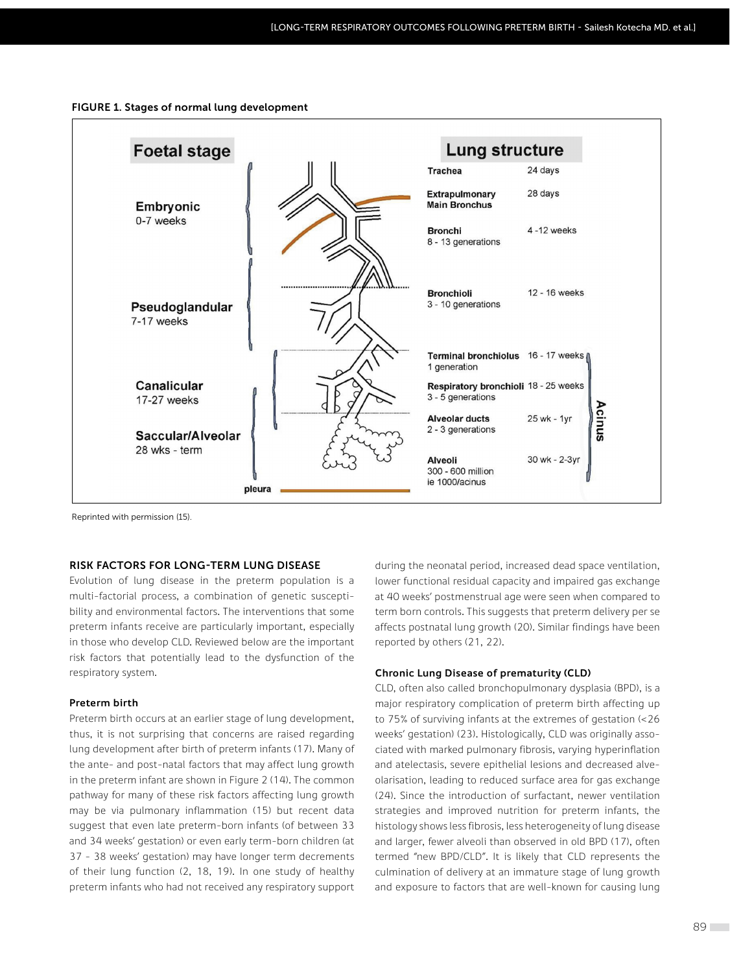



Reprinted with permission (15).

## **RISK FACTORS FOR LONG-TERM LUNG DISEASE**

Evolution of lung disease in the preterm population is a multi-factorial process, a combination of genetic susceptibility and environmental factors. The interventions that some preterm infants receive are particularly important, especially in those who develop CLD. Reviewed below are the important risk factors that potentially lead to the dysfunction of the respiratory system.

## **Preterm birth**

Preterm birth occurs at an earlier stage of lung development, thus, it is not surprising that concerns are raised regarding lung development after birth of preterm infants (17). Many of the ante- and post-natal factors that may affect lung growth in the preterm infant are shown in Figure 2 (14). The common pathway for many of these risk factors affecting lung growth may be via pulmonary inflammation (15) but recent data suggest that even late preterm-born infants (of between 33 and 34 weeks' gestation) or even early term-born children (at 37 – 38 weeks' gestation) may have longer term decrements of their lung function (2, 18, 19). In one study of healthy preterm infants who had not received any respiratory support during the neonatal period, increased dead space ventilation, lower functional residual capacity and impaired gas exchange at 40 weeks' postmenstrual age were seen when compared to term born controls. This suggests that preterm delivery per se affects postnatal lung growth (20). Similar findings have been reported by others (21, 22).

#### **Chronic Lung Disease of prematurity (CLD)**

CLD, often also called bronchopulmonary dysplasia (BPD), is a major respiratory complication of preterm birth affecting up to 75% of surviving infants at the extremes of gestation (<26 weeks' gestation) (23). Histologically, CLD was originally associated with marked pulmonary fibrosis, varying hyperinflation and atelectasis, severe epithelial lesions and decreased alveolarisation, leading to reduced surface area for gas exchange (24). Since the introduction of surfactant, newer ventilation strategies and improved nutrition for preterm infants, the histology shows less fibrosis, less heterogeneity of lung disease and larger, fewer alveoli than observed in old BPD (17), often termed "new BPD/CLD". It is likely that CLD represents the culmination of delivery at an immature stage of lung growth and exposure to factors that are well-known for causing lung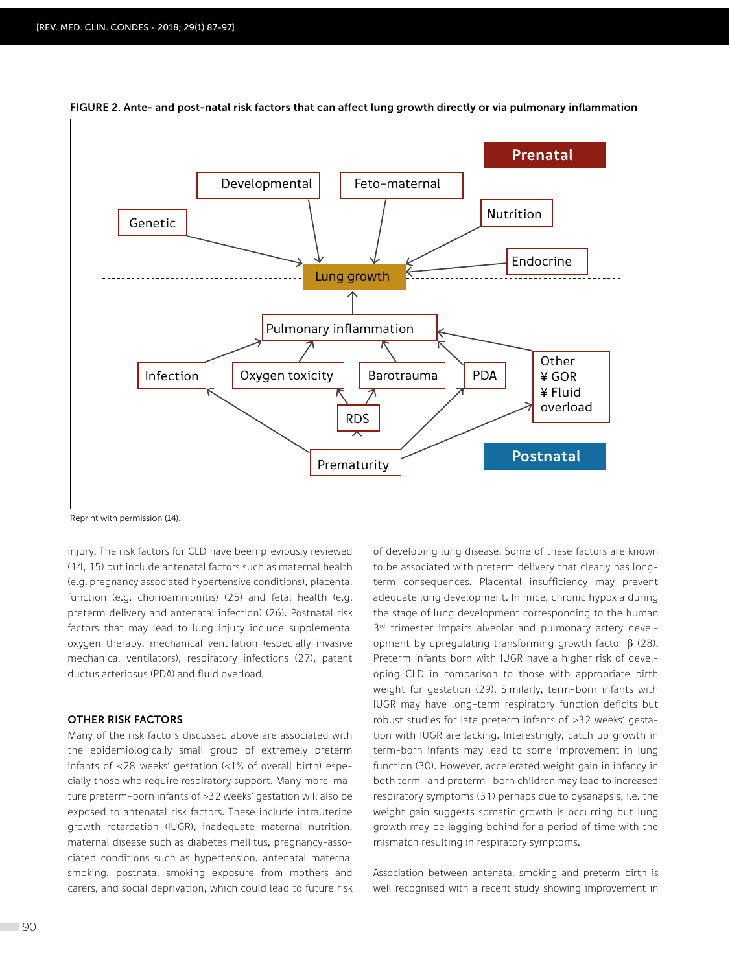

**FIGURE 2. Ante- and post-natal risk factors that can affect lung growth directly or via pulmonary inflammation**

Reprint with permission (14).

injury. The risk factors for CLD have been previously reviewed (14, 15) but include antenatal factors such as maternal health (e.g. pregnancy associated hypertensive conditions), placental function (e.g. chorioamnionitis) (25) and fetal health (e.g. preterm delivery and antenatal infection) (26). Postnatal risk factors that may lead to lung injury include supplemental oxygen therapy, mechanical ventilation (especially invasive mechanical ventilators), respiratory infections (27), patent ductus arteriosus (PDA) and fluid overload.

## **OTHER RISK FACTORS**

Many of the risk factors discussed above are associated with the epidemiologically small group of extremely preterm infants of <28 weeks' gestation (<1% of overall birth) especially those who require respiratory support. Many more-mature preterm-born infants of >32 weeks' gestation will also be exposed to antenatal risk factors. These include intrauterine growth retardation (IUGR), inadequate maternal nutrition, maternal disease such as diabetes mellitus, pregnancy-associated conditions such as hypertension, antenatal maternal smoking, postnatal smoking exposure from mothers and carers, and social deprivation, which could lead to future risk of developing lung disease. Some of these factors are known to be associated with preterm delivery that clearly has longterm consequences. Placental insufficiency may prevent adequate lung development. In mice, chronic hypoxia during the stage of lung development corresponding to the human 3<sup>rd</sup> trimester impairs alveolar and pulmonary artery development by upregulating transforming growth factor  $\beta$  (28). Preterm infants born with IUGR have a higher risk of developing CLD in comparison to those with appropriate birth weight for gestation (29). Similarly, term-born infants with IUGR may have long-term respiratory function deficits but robust studies for late preterm infants of >32 weeks' gestation with IUGR are lacking. Interestingly, catch up growth in term-born infants may lead to some improvement in lung function (30). However, accelerated weight gain in infancy in both term -and preterm- born children may lead to increased respiratory symptoms (31) perhaps due to dysanapsis, i.e. the weight gain suggests somatic growth is occurring but lung growth may be lagging behind for a period of time with the mismatch resulting in respiratory symptoms.

Association between antenatal smoking and preterm birth is well recognised with a recent study showing improvement in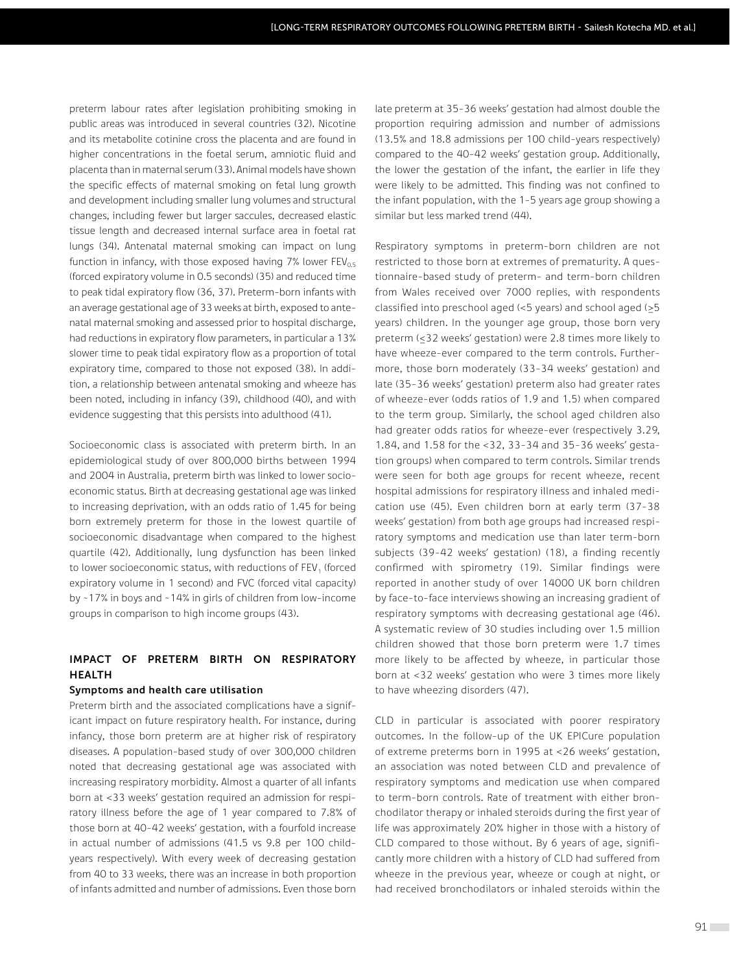preterm labour rates after legislation prohibiting smoking in public areas was introduced in several countries (32). Nicotine and its metabolite cotinine cross the placenta and are found in higher concentrations in the foetal serum, amniotic fluid and placenta than in maternal serum (33). Animal models have shown the specific effects of maternal smoking on fetal lung growth and development including smaller lung volumes and structural changes, including fewer but larger saccules, decreased elastic tissue length and decreased internal surface area in foetal rat lungs (34). Antenatal maternal smoking can impact on lung function in infancy, with those exposed having 7% lower  $FEV_{0.5}$ (forced expiratory volume in 0.5 seconds) (35) and reduced time to peak tidal expiratory flow (36, 37). Preterm-born infants with an average gestational age of 33 weeks at birth, exposed to antenatal maternal smoking and assessed prior to hospital discharge, had reductions in expiratory flow parameters, in particular a 13% slower time to peak tidal expiratory flow as a proportion of total expiratory time, compared to those not exposed (38). In addition, a relationship between antenatal smoking and wheeze has been noted, including in infancy (39), childhood (40), and with evidence suggesting that this persists into adulthood (41).

Socioeconomic class is associated with preterm birth. In an epidemiological study of over 800,000 births between 1994 and 2004 in Australia, preterm birth was linked to lower socioeconomic status. Birth at decreasing gestational age was linked to increasing deprivation, with an odds ratio of 1.45 for being born extremely preterm for those in the lowest quartile of socioeconomic disadvantage when compared to the highest quartile (42). Additionally, lung dysfunction has been linked to lower socioeconomic status, with reductions of FEV<sub>1</sub> (forced expiratory volume in 1 second) and FVC (forced vital capacity) by ~17% in boys and ~14% in girls of children from low-income groups in comparison to high income groups (43).

## **IMPACT OF PRETERM BIRTH ON RESPIRATORY HEALTH**

## **Symptoms and health care utilisation**

Preterm birth and the associated complications have a significant impact on future respiratory health. For instance, during infancy, those born preterm are at higher risk of respiratory diseases. A population-based study of over 300,000 children noted that decreasing gestational age was associated with increasing respiratory morbidity. Almost a quarter of all infants born at <33 weeks' gestation required an admission for respiratory illness before the age of 1 year compared to 7.8% of those born at 40-42 weeks' gestation, with a fourfold increase in actual number of admissions (41.5 vs 9.8 per 100 childyears respectively). With every week of decreasing gestation from 40 to 33 weeks, there was an increase in both proportion of infants admitted and number of admissions. Even those born

late preterm at 35-36 weeks' gestation had almost double the proportion requiring admission and number of admissions (13.5% and 18.8 admissions per 100 child-years respectively) compared to the 40-42 weeks' gestation group. Additionally, the lower the gestation of the infant, the earlier in life they were likely to be admitted. This finding was not confined to the infant population, with the 1-5 years age group showing a similar but less marked trend (44).

Respiratory symptoms in preterm-born children are not restricted to those born at extremes of prematurity. A questionnaire-based study of preterm- and term-born children from Wales received over 7000 replies, with respondents classified into preschool aged (<5 years) and school aged (≥5 years) children. In the younger age group, those born very preterm (≤32 weeks' gestation) were 2.8 times more likely to have wheeze-ever compared to the term controls. Furthermore, those born moderately (33-34 weeks' gestation) and late (35-36 weeks' gestation) preterm also had greater rates of wheeze-ever (odds ratios of 1.9 and 1.5) when compared to the term group. Similarly, the school aged children also had greater odds ratios for wheeze-ever (respectively 3.29, 1.84, and 1.58 for the <32, 33–34 and 35–36 weeks' gestation groups) when compared to term controls. Similar trends were seen for both age groups for recent wheeze, recent hospital admissions for respiratory illness and inhaled medication use (45). Even children born at early term (37-38 weeks' gestation) from both age groups had increased respiratory symptoms and medication use than later term-born subjects (39-42 weeks' gestation) (18), a finding recently confirmed with spirometry (19). Similar findings were reported in another study of over 14000 UK born children by face-to-face interviews showing an increasing gradient of respiratory symptoms with decreasing gestational age (46). A systematic review of 30 studies including over 1.5 million children showed that those born preterm were 1.7 times more likely to be affected by wheeze, in particular those born at <32 weeks' gestation who were 3 times more likely to have wheezing disorders (47).

CLD in particular is associated with poorer respiratory outcomes. In the follow-up of the UK EPICure population of extreme preterms born in 1995 at <26 weeks' gestation, an association was noted between CLD and prevalence of respiratory symptoms and medication use when compared to term-born controls. Rate of treatment with either bronchodilator therapy or inhaled steroids during the first year of life was approximately 20% higher in those with a history of CLD compared to those without. By 6 years of age, significantly more children with a history of CLD had suffered from wheeze in the previous year, wheeze or cough at night, or had received bronchodilators or inhaled steroids within the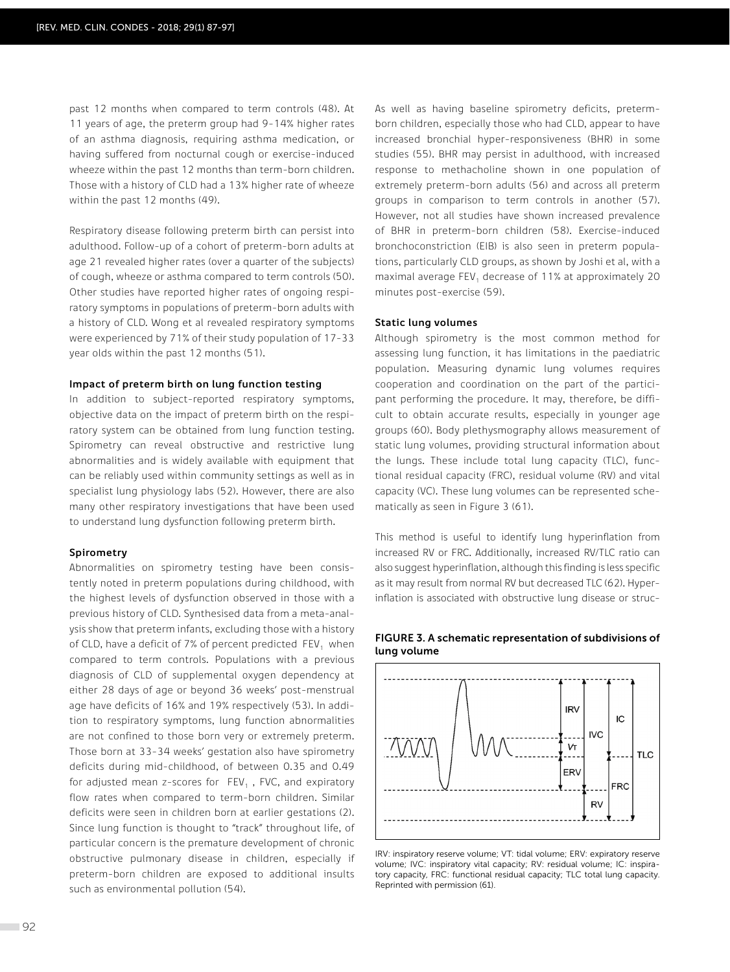past 12 months when compared to term controls (48). At 11 years of age, the preterm group had 9-14% higher rates of an asthma diagnosis, requiring asthma medication, or having suffered from nocturnal cough or exercise-induced wheeze within the past 12 months than term-born children. Those with a history of CLD had a 13% higher rate of wheeze within the past 12 months (49).

Respiratory disease following preterm birth can persist into adulthood. Follow-up of a cohort of preterm-born adults at age 21 revealed higher rates (over a quarter of the subjects) of cough, wheeze or asthma compared to term controls (50). Other studies have reported higher rates of ongoing respiratory symptoms in populations of preterm-born adults with a history of CLD. Wong et al revealed respiratory symptoms were experienced by 71% of their study population of 17-33 year olds within the past 12 months (51).

#### **Impact of preterm birth on lung function testing**

In addition to subject-reported respiratory symptoms, objective data on the impact of preterm birth on the respiratory system can be obtained from lung function testing. Spirometry can reveal obstructive and restrictive lung abnormalities and is widely available with equipment that can be reliably used within community settings as well as in specialist lung physiology labs (52). However, there are also many other respiratory investigations that have been used to understand lung dysfunction following preterm birth.

#### **Spirometry**

Abnormalities on spirometry testing have been consistently noted in preterm populations during childhood, with the highest levels of dysfunction observed in those with a previous history of CLD. Synthesised data from a meta-analysis show that preterm infants, excluding those with a history of CLD, have a deficit of 7% of percent predicted  $FEV<sub>1</sub>$  when compared to term controls. Populations with a previous diagnosis of CLD of supplemental oxygen dependency at either 28 days of age or beyond 36 weeks' post-menstrual age have deficits of 16% and 19% respectively (53). In addition to respiratory symptoms, lung function abnormalities are not confined to those born very or extremely preterm. Those born at 33-34 weeks' gestation also have spirometry deficits during mid-childhood, of between 0.35 and 0.49 for adjusted mean z-scores for  $FEV_1$ , FVC, and expiratory flow rates when compared to term-born children. Similar deficits were seen in children born at earlier gestations (2). Since lung function is thought to "track" throughout life, of particular concern is the premature development of chronic obstructive pulmonary disease in children, especially if preterm-born children are exposed to additional insults such as environmental pollution (54).

As well as having baseline spirometry deficits, pretermborn children, especially those who had CLD, appear to have increased bronchial hyper-responsiveness (BHR) in some studies (55). BHR may persist in adulthood, with increased response to methacholine shown in one population of extremely preterm-born adults (56) and across all preterm groups in comparison to term controls in another (57). However, not all studies have shown increased prevalence of BHR in preterm-born children (58). Exercise-induced bronchoconstriction (EIB) is also seen in preterm populations, particularly CLD groups, as shown by Joshi et al, with a maximal average FEV<sub>1</sub> decrease of 11% at approximately 20 minutes post-exercise (59).

#### **Static lung volumes**

Although spirometry is the most common method for assessing lung function, it has limitations in the paediatric population. Measuring dynamic lung volumes requires cooperation and coordination on the part of the participant performing the procedure. It may, therefore, be difficult to obtain accurate results, especially in younger age groups (60). Body plethysmography allows measurement of static lung volumes, providing structural information about the lungs. These include total lung capacity (TLC), functional residual capacity (FRC), residual volume (RV) and vital capacity (VC). These lung volumes can be represented schematically as seen in Figure 3 (61).

This method is useful to identify lung hyperinflation from increased RV or FRC. Additionally, increased RV/TLC ratio can also suggest hyperinflation, although this finding is less specific as it may result from normal RV but decreased TLC (62). Hyperinflation is associated with obstructive lung disease or struc-



## **FIGURE 3. A schematic representation of subdivisions of lung volume**

IRV: inspiratory reserve volume; VT: tidal volume; ERV: expiratory reserve volume; IVC: inspiratory vital capacity; RV: residual volume; IC: inspiratory capacity, FRC: functional residual capacity; TLC total lung capacity. Reprinted with permission (61).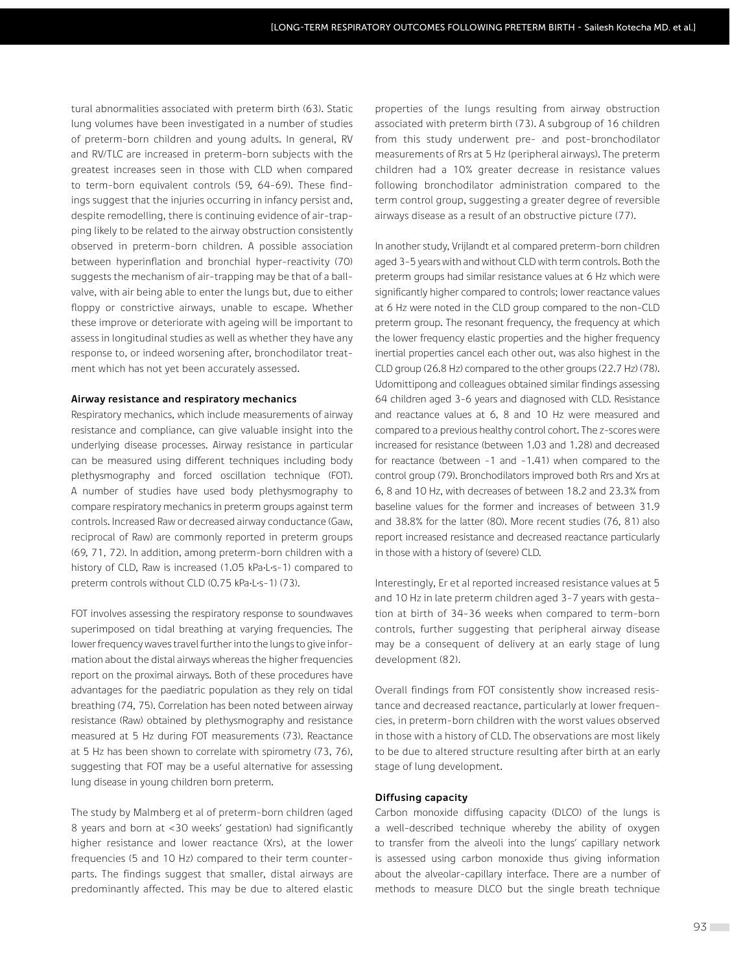tural abnormalities associated with preterm birth (63). Static lung volumes have been investigated in a number of studies of preterm-born children and young adults. In general, RV and RV/TLC are increased in preterm-born subjects with the greatest increases seen in those with CLD when compared to term-born equivalent controls (59, 64-69). These findings suggest that the injuries occurring in infancy persist and, despite remodelling, there is continuing evidence of air-trapping likely to be related to the airway obstruction consistently observed in preterm-born children. A possible association between hyperinflation and bronchial hyper-reactivity (70) suggests the mechanism of air-trapping may be that of a ballvalve, with air being able to enter the lungs but, due to either floppy or constrictive airways, unable to escape. Whether these improve or deteriorate with ageing will be important to assess in longitudinal studies as well as whether they have any response to, or indeed worsening after, bronchodilator treatment which has not yet been accurately assessed.

### **Airway resistance and respiratory mechanics**

Respiratory mechanics, which include measurements of airway resistance and compliance, can give valuable insight into the underlying disease processes. Airway resistance in particular can be measured using different techniques including body plethysmography and forced oscillation technique (FOT). A number of studies have used body plethysmography to compare respiratory mechanics in preterm groups against term controls. Increased Raw or decreased airway conductance (Gaw, reciprocal of Raw) are commonly reported in preterm groups (69, 71, 72). In addition, among preterm-born children with a history of CLD, Raw is increased (1.05 kPa-L-s-1) compared to preterm controls without CLD (0.75 kPa·L·s-1) (73).

FOT involves assessing the respiratory response to soundwaves superimposed on tidal breathing at varying frequencies. The lower frequency waves travel further into the lungs to give information about the distal airways whereas the higher frequencies report on the proximal airways. Both of these procedures have advantages for the paediatric population as they rely on tidal breathing (74, 75). Correlation has been noted between airway resistance (Raw) obtained by plethysmography and resistance measured at 5 Hz during FOT measurements (73). Reactance at 5 Hz has been shown to correlate with spirometry (73, 76), suggesting that FOT may be a useful alternative for assessing lung disease in young children born preterm.

The study by Malmberg et al of preterm-born children (aged 8 years and born at <30 weeks' gestation) had significantly higher resistance and lower reactance (Xrs), at the lower frequencies (5 and 10 Hz) compared to their term counterparts. The findings suggest that smaller, distal airways are predominantly affected. This may be due to altered elastic properties of the lungs resulting from airway obstruction associated with preterm birth (73). A subgroup of 16 children from this study underwent pre- and post-bronchodilator measurements of Rrs at 5 Hz (peripheral airways). The preterm children had a 10% greater decrease in resistance values following bronchodilator administration compared to the term control group, suggesting a greater degree of reversible airways disease as a result of an obstructive picture (77).

In another study, Vrijlandt et al compared preterm-born children aged 3–5 years with and without CLD with term controls. Both the preterm groups had similar resistance values at 6 Hz which were significantly higher compared to controls; lower reactance values at 6 Hz were noted in the CLD group compared to the non-CLD preterm group. The resonant frequency, the frequency at which the lower frequency elastic properties and the higher frequency inertial properties cancel each other out, was also highest in the CLD group (26.8 Hz) compared to the other groups (22.7 Hz) (78). Udomittipong and colleagues obtained similar findings assessing 64 children aged 3–6 years and diagnosed with CLD. Resistance and reactance values at 6, 8 and 10 Hz were measured and compared to a previous healthy control cohort. The z-scores were increased for resistance (between 1.03 and 1.28) and decreased for reactance (between -1 and -1.41) when compared to the control group (79). Bronchodilators improved both Rrs and Xrs at 6, 8 and 10 Hz, with decreases of between 18.2 and 23.3% from baseline values for the former and increases of between 31.9 and 38.8% for the latter (80). More recent studies (76, 81) also report increased resistance and decreased reactance particularly in those with a history of (severe) CLD.

Interestingly, Er et al reported increased resistance values at 5 and 10 Hz in late preterm children aged 3–7 years with gestation at birth of 34-36 weeks when compared to term-born controls, further suggesting that peripheral airway disease may be a consequent of delivery at an early stage of lung development (82).

Overall findings from FOT consistently show increased resistance and decreased reactance, particularly at lower frequencies, in preterm-born children with the worst values observed in those with a history of CLD. The observations are most likely to be due to altered structure resulting after birth at an early stage of lung development.

#### **Diffusing capacity**

Carbon monoxide diffusing capacity (DLCO) of the lungs is a well-described technique whereby the ability of oxygen to transfer from the alveoli into the lungs' capillary network is assessed using carbon monoxide thus giving information about the alveolar-capillary interface. There are a number of methods to measure DLCO but the single breath technique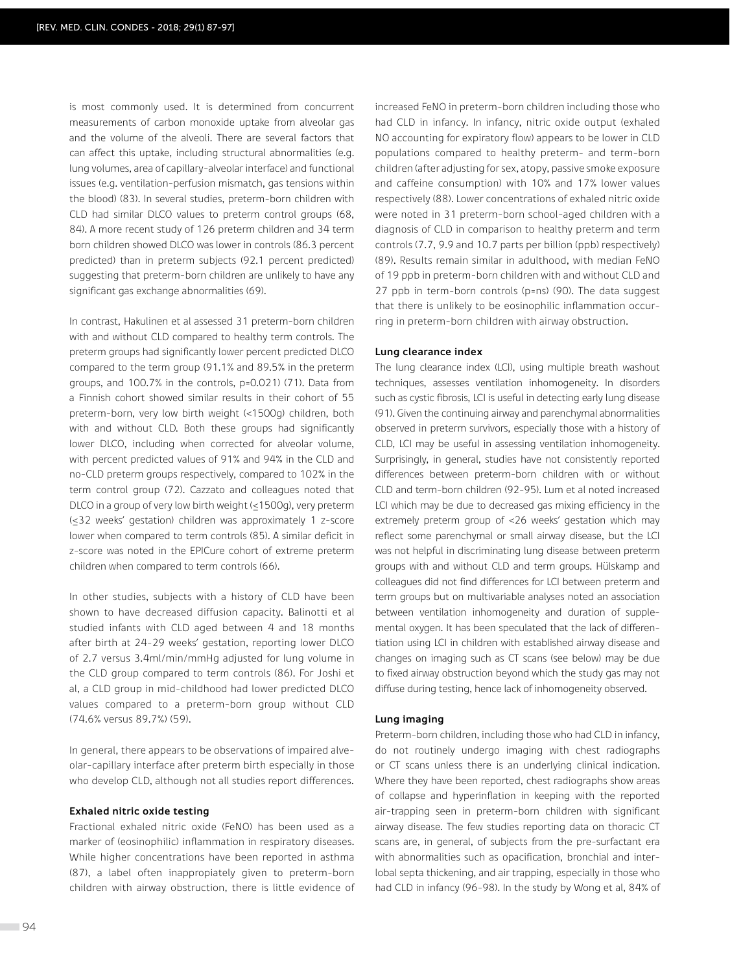is most commonly used. It is determined from concurrent measurements of carbon monoxide uptake from alveolar gas and the volume of the alveoli. There are several factors that can affect this uptake, including structural abnormalities (e.g. lung volumes, area of capillary-alveolar interface) and functional issues (e.g. ventilation-perfusion mismatch, gas tensions within the blood) (83). In several studies, preterm-born children with CLD had similar DLCO values to preterm control groups (68, 84). A more recent study of 126 preterm children and 34 term born children showed DLCO was lower in controls (86.3 percent predicted) than in preterm subjects (92.1 percent predicted) suggesting that preterm-born children are unlikely to have any significant gas exchange abnormalities (69).

In contrast, Hakulinen et al assessed 31 preterm-born children with and without CLD compared to healthy term controls. The preterm groups had significantly lower percent predicted DLCO compared to the term group (91.1% and 89.5% in the preterm groups, and 100.7% in the controls, p=0.021) (71). Data from a Finnish cohort showed similar results in their cohort of 55 preterm-born, very low birth weight (<1500g) children, both with and without CLD. Both these groups had significantly lower DLCO, including when corrected for alveolar volume, with percent predicted values of 91% and 94% in the CLD and no-CLD preterm groups respectively, compared to 102% in the term control group (72). Cazzato and colleagues noted that DLCO in a group of very low birth weight (≤1500g), very preterm (≤32 weeks' gestation) children was approximately 1 z-score lower when compared to term controls (85). A similar deficit in z-score was noted in the EPICure cohort of extreme preterm children when compared to term controls (66).

In other studies, subjects with a history of CLD have been shown to have decreased diffusion capacity. Balinotti et al studied infants with CLD aged between 4 and 18 months after birth at 24-29 weeks' gestation, reporting lower DLCO of 2.7 versus 3.4ml/min/mmHg adjusted for lung volume in the CLD group compared to term controls (86). For Joshi et al, a CLD group in mid-childhood had lower predicted DLCO values compared to a preterm-born group without CLD (74.6% versus 89.7%) (59).

In general, there appears to be observations of impaired alveolar-capillary interface after preterm birth especially in those who develop CLD, although not all studies report differences.

## **Exhaled nitric oxide testing**

Fractional exhaled nitric oxide (FeNO) has been used as a marker of (eosinophilic) inflammation in respiratory diseases. While higher concentrations have been reported in asthma (87), a label often inappropiately given to preterm-born children with airway obstruction, there is little evidence of increased FeNO in preterm-born children including those who had CLD in infancy. In infancy, nitric oxide output (exhaled NO accounting for expiratory flow) appears to be lower in CLD populations compared to healthy preterm- and term-born children (after adjusting for sex, atopy, passive smoke exposure and caffeine consumption) with 10% and 17% lower values respectively (88). Lower concentrations of exhaled nitric oxide were noted in 31 preterm-born school-aged children with a diagnosis of CLD in comparison to healthy preterm and term controls (7.7, 9.9 and 10.7 parts per billion (ppb) respectively) (89). Results remain similar in adulthood, with median FeNO of 19 ppb in preterm-born children with and without CLD and 27 ppb in term-born controls (p=ns) (90). The data suggest that there is unlikely to be eosinophilic inflammation occurring in preterm-born children with airway obstruction.

#### **Lung clearance index**

The lung clearance index (LCI), using multiple breath washout techniques, assesses ventilation inhomogeneity. In disorders such as cystic fibrosis, LCI is useful in detecting early lung disease (91). Given the continuing airway and parenchymal abnormalities observed in preterm survivors, especially those with a history of CLD, LCI may be useful in assessing ventilation inhomogeneity. Surprisingly, in general, studies have not consistently reported differences between preterm-born children with or without CLD and term-born children (92-95). Lum et al noted increased LCI which may be due to decreased gas mixing efficiency in the extremely preterm group of <26 weeks' gestation which may reflect some parenchymal or small airway disease, but the LCI was not helpful in discriminating lung disease between preterm groups with and without CLD and term groups. Hülskamp and colleagues did not find differences for LCI between preterm and term groups but on multivariable analyses noted an association between ventilation inhomogeneity and duration of supplemental oxygen. It has been speculated that the lack of differentiation using LCI in children with established airway disease and changes on imaging such as CT scans (see below) may be due to fixed airway obstruction beyond which the study gas may not diffuse during testing, hence lack of inhomogeneity observed.

#### **Lung imaging**

Preterm-born children, including those who had CLD in infancy, do not routinely undergo imaging with chest radiographs or CT scans unless there is an underlying clinical indication. Where they have been reported, chest radiographs show areas of collapse and hyperinflation in keeping with the reported air-trapping seen in preterm-born children with significant airway disease. The few studies reporting data on thoracic CT scans are, in general, of subjects from the pre-surfactant era with abnormalities such as opacification, bronchial and interlobal septa thickening, and air trapping, especially in those who had CLD in infancy (96-98). In the study by Wong et al, 84% of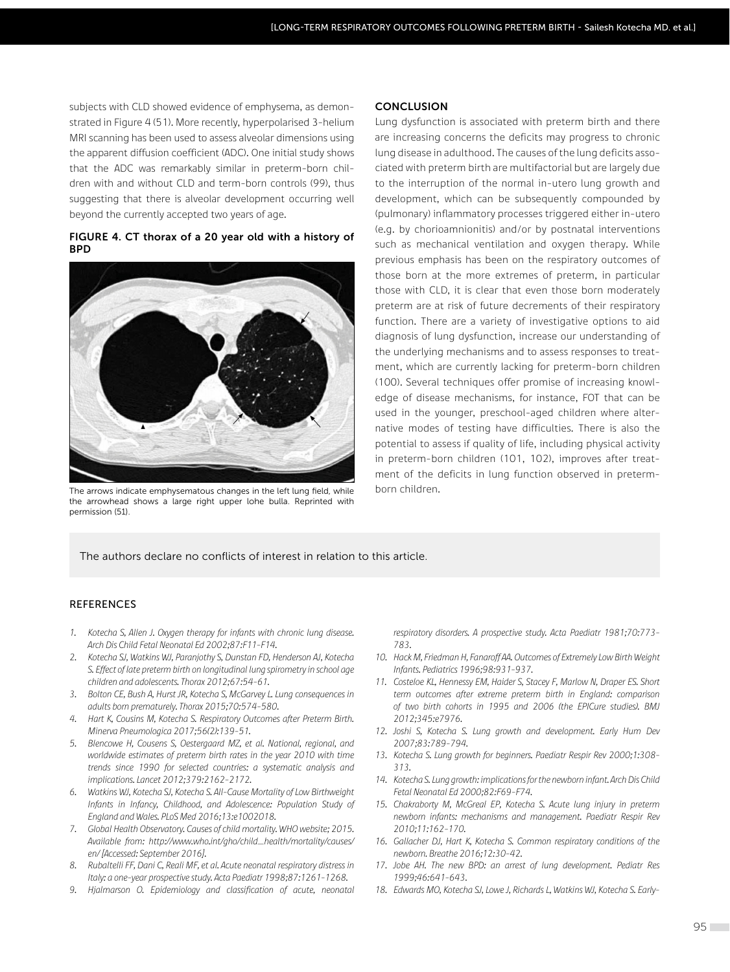subjects with CLD showed evidence of emphysema, as demonstrated in Figure 4 (51). More recently, hyperpolarised 3-helium MRI scanning has been used to assess alveolar dimensions using the apparent diffusion coefficient (ADC). One initial study shows that the ADC was remarkably similar in preterm-born children with and without CLD and term-born controls (99), thus suggesting that there is alveolar development occurring well beyond the currently accepted two years of age.

#### **FIGURE 4. CT thorax of a 20 year old with a history of BPD**



The arrows indicate emphysematous changes in the left lung field, while the arrowhead shows a large right upper lohe bulla. Reprinted with permission (51)

#### **CONCLUSION**

Lung dysfunction is associated with preterm birth and there are increasing concerns the deficits may progress to chronic lung disease in adulthood. The causes of the lung deficits associated with preterm birth are multifactorial but are largely due to the interruption of the normal in-utero lung growth and development, which can be subsequently compounded by (pulmonary) inflammatory processes triggered either in-utero (e.g. by chorioamnionitis) and/or by postnatal interventions such as mechanical ventilation and oxygen therapy. While previous emphasis has been on the respiratory outcomes of those born at the more extremes of preterm, in particular those with CLD, it is clear that even those born moderately preterm are at risk of future decrements of their respiratory function. There are a variety of investigative options to aid diagnosis of lung dysfunction, increase our understanding of the underlying mechanisms and to assess responses to treatment, which are currently lacking for preterm-born children (100). Several techniques offer promise of increasing knowledge of disease mechanisms, for instance, FOT that can be used in the younger, preschool-aged children where alternative modes of testing have difficulties. There is also the potential to assess if quality of life, including physical activity in preterm-born children (101, 102), improves after treatment of the deficits in lung function observed in pretermborn children.

The authors declare no conflicts of interest in relation to this article.

## REFERENCES

- *1. Kotecha S, Allen J. Oxygen therapy for infants with chronic lung disease. Arch Dis Child Fetal Neonatal Ed 2002;87:F11-F14.*
- *2. Kotecha SJ, Watkins WJ, Paranjothy S, Dunstan FD, Henderson AJ, Kotecha S. Effect of late preterm birth on longitudinal lung spirometry in school age children and adolescents. Thorax 2012;67:54-61.*
- *3. Bolton CE, Bush A, Hurst JR, Kotecha S, McGarvey L. Lung consequences in adults born prematurely. Thorax 2015;70:574-580.*
- *4. Hart K, Cousins M, Kotecha S. Respiratory Outcomes after Preterm Birth. Minerva Pneumologica 2017;56(2):139-51.*
- *5. Blencowe H, Cousens S, Oestergaard MZ, et al. National, regional, and worldwide estimates of preterm birth rates in the year 2010 with time trends since 1990 for selected countries: a systematic analysis and implications. Lancet 2012;379:2162-2172.*
- *6. Watkins WJ, Kotecha SJ, Kotecha S. All-Cause Mortality of Low Birthweight Infants in Infancy, Childhood, and Adolescence: Population Study of England and Wales. PLoS Med 2016;13:e1002018.*
- *7. Global Health Observatory. Causes of child mortality. WHO website; 2015. Available from: http://www.who.int/gho/child\_health/mortality/causes/ en/ [Accessed: September 2016].*
- *8. Rubaltelli FF, Dani C, Reali MF, et al. Acute neonatal respiratory distress in Italy: a one-year prospective study. Acta Paediatr 1998;87:1261-1268.*
- *9. Hjalmarson O. Epidemiology and classification of acute, neonatal*

*respiratory disorders. A prospective study. Acta Paediatr 1981;70:773- 783.*

- *10. Hack M, Friedman H, Fanaroff AA. Outcomes of Extremely Low Birth Weight Infants. Pediatrics 1996;98:931-937.*
- *11. Costeloe KL, Hennessy EM, Haider S, Stacey F, Marlow N, Draper ES. Short term outcomes after extreme preterm birth in England: comparison of two birth cohorts in 1995 and 2006 (the EPICure studies). BMJ 2012;345:e7976.*
- *12. Joshi S, Kotecha S. Lung growth and development. Early Hum Dev 2007;83:789-794.*
- *13. Kotecha S. Lung growth for beginners. Paediatr Respir Rev 2000;1:308- 313.*
- *14. Kotecha S. Lung growth: implications for the newborn infant. Arch Dis Child Fetal Neonatal Ed 2000;82:F69-F74.*
- *15. Chakraborty M, McGreal EP, Kotecha S. Acute lung injury in preterm newborn infants: mechanisms and management. Paediatr Respir Rev 2010;11:162-170.*
- *16. Gallacher DJ, Hart K, Kotecha S. Common respiratory conditions of the newborn. Breathe 2016;12:30-42.*
- *17. Jobe AH. The new BPD: an arrest of lung development. Pediatr Res 1999;46:641-643.*
- *18. Edwards MO, Kotecha SJ, Lowe J, Richards L, Watkins WJ, Kotecha S. Early-*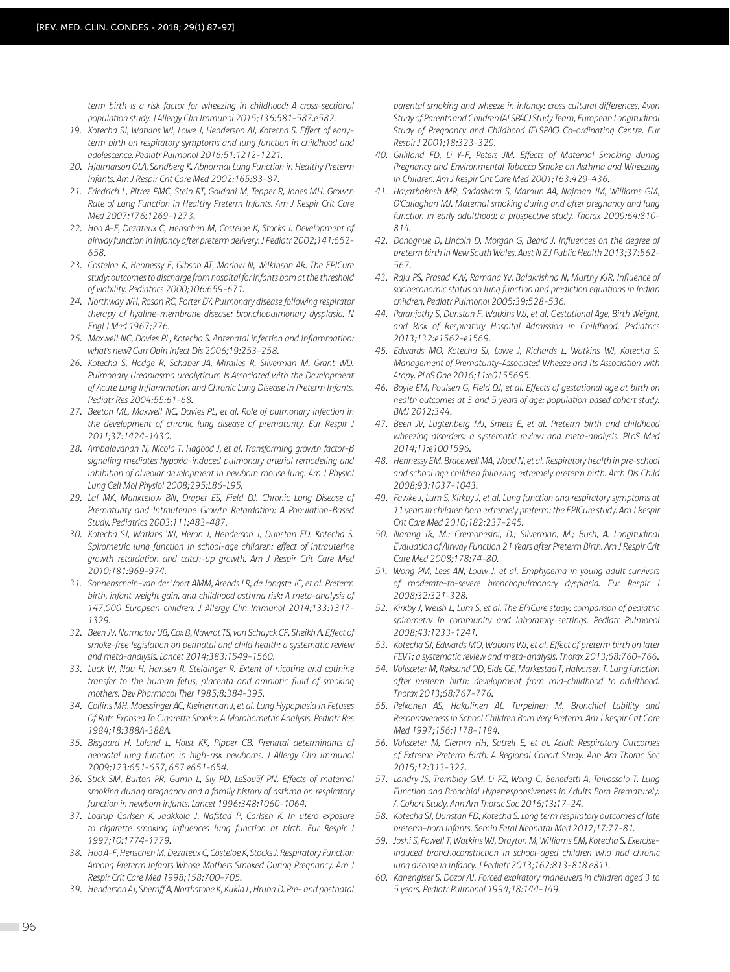*term birth is a risk factor for wheezing in childhood: A cross-sectional population study. J Allergy Clin Immunol 2015;136:581-587.e582.*

- *19. Kotecha SJ, Watkins WJ, Lowe J, Henderson AJ, Kotecha S. Effect of earlyterm birth on respiratory symptoms and lung function in childhood and adolescence. Pediatr Pulmonol 2016;51:1212-1221.*
- *20. Hjalmarson OLA, Sandberg K. Abnormal Lung Function in Healthy Preterm Infants. Am J Respir Crit Care Med 2002;165:83-87.*
- *21. Friedrich L, Pitrez PMC, Stein RT, Goldani M, Tepper R, Jones MH. Growth Rate of Lung Function in Healthy Preterm Infants. Am J Respir Crit Care Med 2007;176:1269-1273.*
- *22. Hoo A-F, Dezateux C, Henschen M, Costeloe K, Stocks J. Development of airway function in infancy after preterm delivery. J Pediatr 2002;141:652- 658.*
- *23. Costeloe K, Hennessy E, Gibson AT, Marlow N, Wilkinson AR. The EPICure study: outcomes to discharge from hospital for infants born at the threshold of viability. Pediatrics 2000;106:659-671.*
- *24. Northway WH, Rosan RC, Porter DY. Pulmonary disease following respirator therapy of hyaline-membrane disease: bronchopulmonary dysplasia. N Engl J Med 1967;276.*
- *25. Maxwell NC, Davies PL, Kotecha S. Antenatal infection and inflammation: what's new? Curr Opin Infect Dis 2006;19:253-258.*
- *26. Kotecha S, Hodge R, Schaber JA, Miralles R, Silverman M, Grant WD. Pulmonary Ureaplasma urealyticum Is Associated with the Development of Acute Lung Inflammation and Chronic Lung Disease in Preterm Infants. Pediatr Res 2004;55:61-68.*
- *27. Beeton ML, Maxwell NC, Davies PL, et al. Role of pulmonary infection in the development of chronic lung disease of prematurity. Eur Respir J 2011;37:1424-1430.*
- *28. Ambalavanan N, Nicola T, Hagood J, et al. Transforming growth factor-ơ signaling mediates hypoxia-induced pulmonary arterial remodeling and inhibition of alveolar development in newborn mouse lung. Am J Physiol Lung Cell Mol Physiol 2008;295:L86-L95.*
- *29. Lal MK, Manktelow BN, Draper ES, Field DJ. Chronic Lung Disease of Prematurity and Intrauterine Growth Retardation: A Population-Based Study. Pediatrics 2003;111:483-487.*
- *30. Kotecha SJ, Watkins WJ, Heron J, Henderson J, Dunstan FD, Kotecha S. Spirometric lung function in school-age children: effect of intrauterine growth retardation and catch-up growth. Am J Respir Crit Care Med 2010;181:969-974.*
- *31. Sonnenschein-van der Voort AMM, Arends LR, de Jongste JC, et al. Preterm birth, infant weight gain, and childhood asthma risk: A meta-analysis of 147,000 European children. J Allergy Clin Immunol 2014;133:1317- 1329.*
- *32. Been JV, Nurmatov UB, Cox B, Nawrot TS, van Schayck CP, Sheikh A. Effect of smoke-free legislation on perinatal and child health: a systematic review and meta-analysis. Lancet 2014;383:1549-1560.*
- *33. Luck W, Nau H, Hansen R, Steldinger R. Extent of nicotine and cotinine transfer to the human fetus, placenta and amniotic fluid of smoking mothers. Dev Pharmacol Ther 1985;8:384-395.*
- *34. Collins MH, Moessinger AC, Kleinerman J, et al. Lung Hypoplasia In Fetuses Of Rats Exposed To Cigarette Smoke: A Morphometric Analysis. Pediatr Res 1984;18:388A-388A.*
- *35. Bisgaard H, Loland L, Holst KK, Pipper CB. Prenatal determinants of neonatal lung function in high-risk newborns. J Allergy Clin Immunol 2009;123:651-657, 657 e651-654.*
- *36. Stick SM, Burton PR, Gurrin L, Sly PD, LeSouëf PN. Effects of maternal smoking during pregnancy and a family history of asthma on respiratory function in newborn infants. Lancet 1996;348:1060-1064.*
- *37. Lodrup Carlsen K, Jaakkola J, Nafstad P, Carlsen K. In utero exposure to cigarette smoking influences lung function at birth. Eur Respir J 1997;10:1774-1779.*
- *38. Hoo A-F, Henschen M, Dezateux C, Costeloe K, Stocks J. Respiratory Function Among Preterm Infants Whose Mothers Smoked During Pregnancy. Am J Respir Crit Care Med 1998;158:700-705.*
- *39. Henderson AJ, Sherriff A, Northstone K, Kukla L, Hruba D. Pre- and postnatal*

*parental smoking and wheeze in infancy: cross cultural differences. Avon Study of Parents and Children (ALSPAC) Study Team, European Longitudinal Study of Pregnancy and Childhood (ELSPAC) Co-ordinating Centre. Eur Respir J 2001;18:323-329.*

- *40. Gilliland FD, Li Y-F, Peters JM. Effects of Maternal Smoking during Pregnancy and Environmental Tobacco Smoke on Asthma and Wheezing in Children. Am J Respir Crit Care Med 2001;163:429-436.*
- *41. Hayatbakhsh MR, Sadasivam S, Mamun AA, Najman JM, Williams GM, O'Callaghan MJ. Maternal smoking during and after pregnancy and lung function in early adulthood: a prospective study. Thorax 2009;64:810- 814.*
- *42. Donoghue D, Lincoln D, Morgan G, Beard J. Influences on the degree of preterm birth in New South Wales. Aust N Z J Public Health 2013;37:562- 567.*
- *43. Raju PS, Prasad KVV, Ramana YV, Balakrishna N, Murthy KJR. Influence of socioeconomic status on lung function and prediction equations in Indian children. Pediatr Pulmonol 2005;39:528-536.*
- *44. Paranjothy S, Dunstan F, Watkins WJ, et al. Gestational Age, Birth Weight, and Risk of Respiratory Hospital Admission in Childhood. Pediatrics 2013;132:e1562-e1569.*
- *45. Edwards MO, Kotecha SJ, Lowe J, Richards L, Watkins WJ, Kotecha S. Management of Prematurity-Associated Wheeze and Its Association with Atopy. PLoS One 2016;11:e0155695.*
- *46. Boyle EM, Poulsen G, Field DJ, et al. Effects of gestational age at birth on health outcomes at 3 and 5 years of age: population based cohort study. BMJ 2012;344.*
- *47. Been JV, Lugtenberg MJ, Smets E, et al. Preterm birth and childhood wheezing disorders: a systematic review and meta-analysis. PLoS Med 2014;11:e1001596.*
- *48. Hennessy EM, Bracewell MA, Wood N, et al. Respiratory health in pre-school and school age children following extremely preterm birth. Arch Dis Child 2008;93:1037-1043.*
- *49. Fawke J, Lum S, Kirkby J, et al. Lung function and respiratory symptoms at 11 years in children born extremely preterm: the EPICure study. Am J Respir Crit Care Med 2010;182:237-245.*
- *50. Narang IR, M.; Cremonesini, D.; Silverman, M.; Bush, A. Longitudinal Evaluation of Airway Function 21 Years after Preterm Birth. Am J Respir Crit Care Med 2008;178:74-80.*
- *51. Wong PM, Lees AN, Louw J, et al. Emphysema in young adult survivors of moderate-to-severe bronchopulmonary dysplasia. Eur Respir J 2008;32:321-328.*
- *52. Kirkby J, Welsh L, Lum S, et al. The EPICure study: comparison of pediatric spirometry in community and laboratory settings. Pediatr Pulmonol 2008;43:1233-1241.*
- *53. Kotecha SJ, Edwards MO, Watkins WJ, et al. Effect of preterm birth on later FEV1: a systematic review and meta-analysis. Thorax 2013;68:760-766.*
- *54. Vollsæter M, Røksund OD, Eide GE, Markestad T, Halvorsen T. Lung function after preterm birth: development from mid-childhood to adulthood. Thorax 2013;68:767-776.*
- *55. Pelkonen AS, Hakulinen AL, Turpeinen M. Bronchial Lability and Responsiveness in School Children Born Very Preterm. Am J Respir Crit Care Med 1997;156:1178-1184.*
- *56. Vollsæter M, Clemm HH, Satrell E, et al. Adult Respiratory Outcomes of Extreme Preterm Birth. A Regional Cohort Study. Ann Am Thorac Soc 2015;12:313-322.*
- *57. Landry JS, Tremblay GM, Li PZ, Wong C, Benedetti A, Taivassalo T. Lung Function and Bronchial Hyperresponsiveness in Adults Born Prematurely. A Cohort Study. Ann Am Thorac Soc 2016;13:17-24.*
- *58. Kotecha SJ, Dunstan FD, Kotecha S. Long term respiratory outcomes of late preterm-born infants. Semin Fetal Neonatal Med 2012;17:77-81.*
- *59. Joshi S, Powell T, Watkins WJ, Drayton M, Williams EM, Kotecha S. Exerciseinduced bronchoconstriction in school-aged children who had chronic lung disease in infancy. J Pediatr 2013;162:813-818 e811.*
- *60. Kanengiser S, Dozor AJ. Forced expiratory maneuvers in children aged 3 to 5 years. Pediatr Pulmonol 1994;18:144-149.*